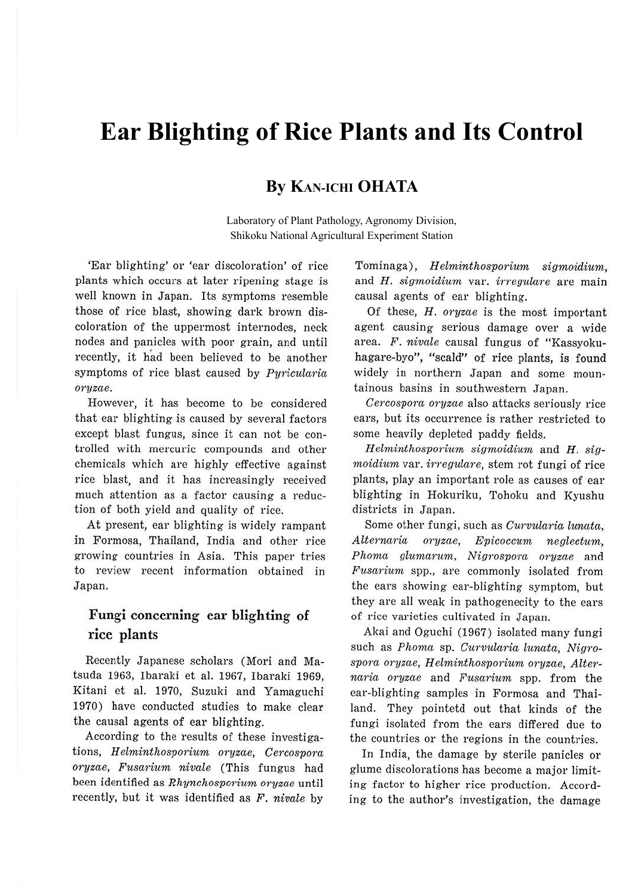# **Ear Blighting of Rice Plants and Its Control**

## **By KAN-ICHI OHATA**

Laboratory of Plant Pathology, Agronomy Division, Shikoku National Agricultural Experiment Station

'Ear blighting' or 'ear discoloration' of rice plants which occurs at later ripening stage is well known in Japan. Its symptoms resemble those of rice blast, showing: dark brown discoloration of the uppermost internodes, neck nodes and panicles with poor grain, and until recently, it had been believed to be another symptoms of rice blast caused by *Pyricularia oryzae.* 

However, it has become to be considered that ear blighting is caused by several factors except blast fungus, since it can not be controlled with mercuric compounds and other chemicals which are highly effective against rice blast, and it has increasingly received much attention as a factor causing a reduction of both yield and quality of rice.

At present, ear blighting is widely rampant in Formosa, Thailand, India and other rice growing countries in Asia. This paper tries to review recent information obtained in Japan.

### **Fungi concerning ear blighting of rice plants**

Recently Japanese scholars (Mori and Matsuda 1963, Ibaraki et al. 1967, Ibaraki 1969, Kitani et al. 1970, Suzuki and Yamaguchi 1970) have conducted studies to make clear the causal agents of ear blighting.

According to the results of these investigations, *H elminthosporium oryzae, Cercospora oryzae, Fusarium nivale* (This fungus had been identified as *Rhynchosporium, oryzae* until recently, but it was identified as *F. nivale* by Tominaga), *H elminthosporium sigmoidium,*  and *H. sigmoidium* var. *irregukire* are main causal agents of ear blighting.

Of these, *H. oryzae* is the most important agent causing serious damage over a wide area. F. nivale causal fungus of "Kassyokuhagare-byo", "scald" of rice plants, is found widely in northern Japan and some mountainous basins in southwestern Japan.

*Cercospora oryzae* also attacks seriously rice ears, but its occurrence is rather restricted to some heavily depleted paddy fields.

*H elm,inthosporium sigmoidium* and *H. sigmoidium* var. *irregukire,* stem rot fungi of rice plants, play an important role as causes of ear blighting in Hokuriku, Tohoku and Kyushu districts in Japan.

Some other fungi, such as *Curvularia lunata, Alternaria oryzae, Epicoccum, neglectum, Phoma glumarum, Nigrospora oryzae* and *Fusarium* spp., are commonly isolated from the ears showing ear-blighting symptom, but they are all weak in pathogenecity to the ears of rice varieties cultivated in Japan.

Akai and Oguchi (1967) isolated many fungi such as *Phoma* sp. *Curvularia lunata*, Nigro*sporci oryzae, H elm,inthosporium oryzae, Alternaria oryzae* and *Fusarium* spp. from the ear-blighting samples in Formosa and Thailand. They pointetd out that kinds of the fungi isolated from the ears differed due to the countries or the regions in the countries.

In India, the damage by sterile panicles or glume discolorations has become a major limiting factor to higher rice production. According to the author's investigation, the damage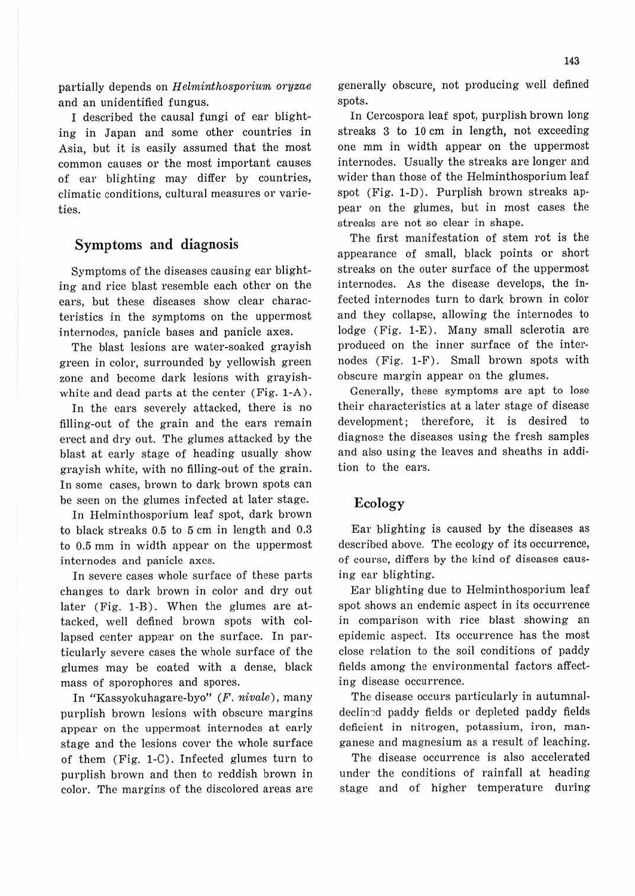partially depends on *Helminthosporium oryzae* and an unidentified fungus.

I described the causal fungi of ear blighting in Japan and some other countries in Asia, but it is easily assumed that the most common causes or the most important causes of ear blighting may differ by countries, climatic conditions, cultural measures or varieties.

#### Symptoms and diagnosis

Symptoms of the diseases causing ear blighting and rice blast resemble each other on the ears, but these diseases show clear characteristics in the symptoms on the uppermost internodes, panicle bases and panicle axes.

The blast lesions are water-soaked grayish green in color, surrounded by yellowish green zone and become dark lesions with grayishwhite and dead parts at the center (Fig. 1-A).

In the ears severely attacked, there is no filling-out of the grain and the ears remain erect and dry out. The glumes attacked by the blast at early stage of heading usually show grayish white, with no filling-out of the grain. In some cases, brown to dark brown spots can be seen on the glumes infected at later stage.

In Helminthosporium leaf spot, dark brown to black streaks 0.5 to 5 cm in length and 0.3 to 0.5 mm in width appear on the uppermost internodes and panicle axes.

In severe cases whole surface of these parts changes to dark brown in color and dry out later (Fig. 1-B). When the glumes are attacked, well defined brown spots with collapsed center appear on the surface. In particularly severe cases the whole surface of the glumes may be coated with a dense, black mass of sporophores and spores.

In "Kassyokuhagare-byo" (F. *nivale*), many purplish brown lesions with obscure margins appear on the uppermost internodes at early stage and the lesions cover the whole surface of them ( Fig. 1-C). Infected glumes turn to purplish brown and then to reddish brown in color. The margins of the discolored areas are generally obscure, not producing well defined spots.

In Cercospora leaf spot, purplish brown long streaks 3 to 10 cm in length, not exceeding one mm in width appear on the uppermost internodes. Usually the streaks are longer and wider than those of the Helminthosporium leaf spot (Fig. 1-D). Purplish brown streaks appear on the glumes, but in most cases the streaks are not so clear in shape.

The first manifestation of stem rot is the appearance of small, black points or short streaks on the outer surface of the uppermost internodes. As the disease develops, the infected internodes turn to dark brown in color and they collapse, allowing the internodes to lodge (Fig. 1-E). Many small sclerotia are produced on the inner surface of the internodes (Fig. 1-F). Small brown spots with obscure margin appear on the glumes.

Generally, these symptoms are apt to lose their characteristics at a later stage of disease development; therefore, it is desired to diagnose the diseases using the fresh samples and also using the leaves and sheaths in addition to the ears.

#### Ecology

Ear blighting is caused by the diseases as described above. The ecology of its occurrence, of course, differs by the kind of diseases causing ear blighting.

Ear blighting due to Helminthosporium leaf spot shows an endemic aspect in its occurrence in comparison with rice blast showing an epidemic aspect. Its occurrence has the most close relation to the soil conditions of paddy fields among the environmental factors affecting disease occurrence.

The disease occurs particularly in autumnaldeclin~d paddy fields or depleted paddy fields deficient in nitrogen, potassium, iron, manganese and magnesium as a result of leaching.

The disease occurrence is also accelerated under the conditions of rainfall at heading stage and of higher temperature during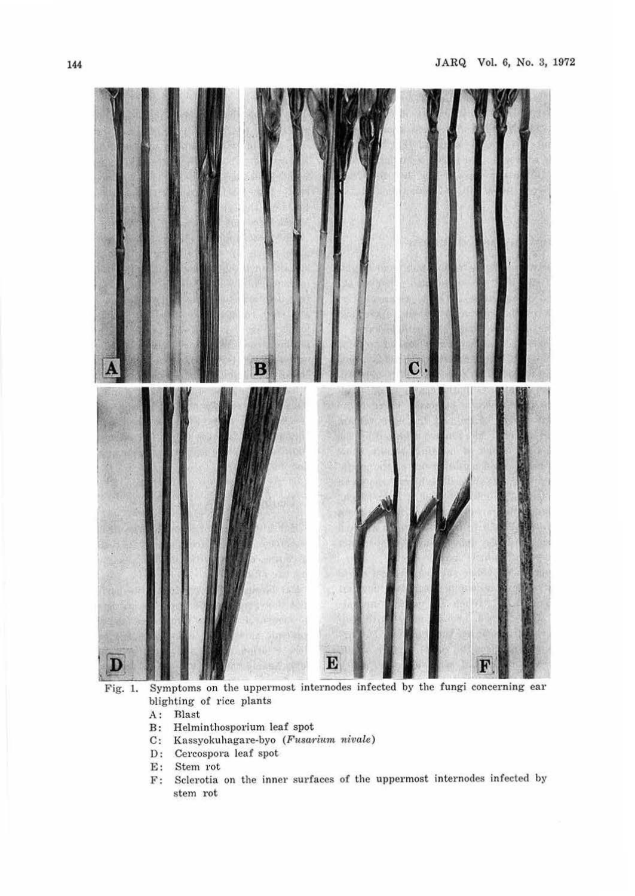

Fig. 1. Symptoms on the uppermost internodes infected by the fungi concerning ear blighting of rice plants

- 
- A: Blast<br>B: Helmi B: Helminthosporium leaf spot
- C: Kassyokuhagare-byo (Fusarium nivale)
- D: Cercospora leaf spot
- 
- E: Stem rot<br>F: Sclerotia Sclerotia on the inner surfaces of the uppermost internodes infected by stem rot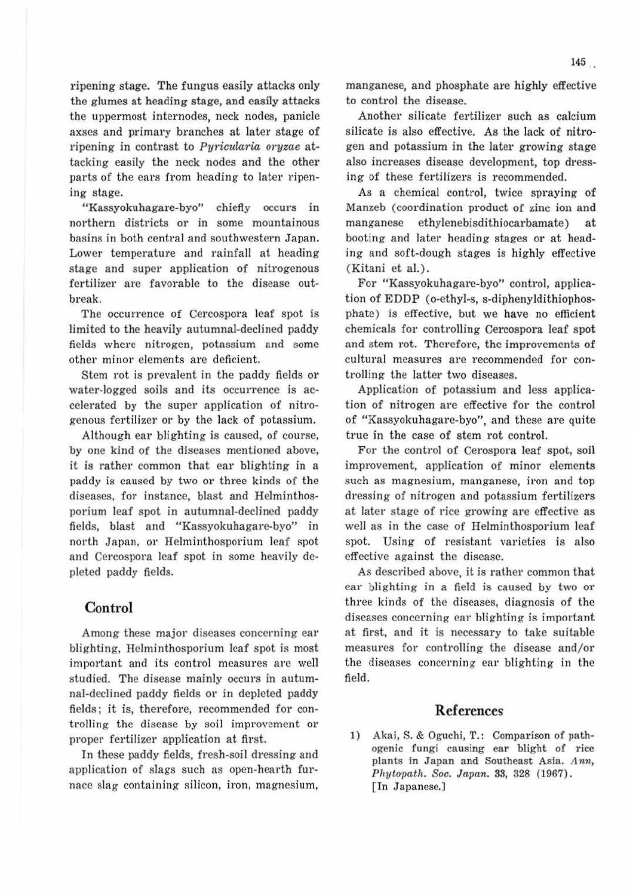Another silicate fertilizer such as calcium silicate is also effective. As the Jack of nitrogen and potassium in the later growing stage also increases disease development, top dressing of these fertilizers is recommended.

As a chemical control, twice spraying of Manzeb (coordination product of zinc ion and manganese ethylenebisdithiocarbamate) at booting and later heading stages or at heading and soft-dough stages is highly effective (Kitani et al.) .

For "Kassyokuhagare-byo" control, application of EDDP (o-ethyl-s, s-diphenyldithiophosphate) is effective, but we have no efficient chemicals for controlling Cercospora leaf spot and stem rot. Therefore, the improvements of cultural measures are recommended for controlling the latter two diseases.

Application of potassium and less application of nitrogen are effective for the control of "Kassyokuhagare-byo", and these are quite true in the case of stem rot control.

For the control of Cerospora leaf spot, soil improvement, application of minor elements such as magnesium, manganese, iron and top dressing of nitrogen and potassium fertilizers at later stage of rice growing are effective as well as in the case of Helminthosporium leaf spot. Using of resistant varieties is also effective against the disease.

As described above, it is rather common that ear blighting in a field is caused by two or three kinds of the diseases, diagnosis of the diseases concerning ear blighting is important at first, and it is necessary to take suitable measures for controlling the disease and/or the diseases concerning ear blighting in the field.

#### **References**

1) Akai, S. & Oguchi, T.: Comparison of pathogenic fungi causing ear blight of rice plants in Japan and Southeast Asia. Ann, Phytopath. Soc. Japan. 33, 328 (1967). [In Japanese.)

ripening stage. The fungus easily attacks only the glumes at heading stage, and easily attacks the uppermost internodes, neck nodes, panicle axses and primary branches at later stage of ripening in contrast to *Pyricularia oryzae* attacking easily the neck nodes and the other parts of the cars from heading to later ripening stage.

"Kassyokuhagare-byo" chiefly occurs in northern districts or in some mountainous basins in both central and southwestern Japan. Lower temperature and rainfall at heading stage and super application of nitrogenous fertilizer are favorable to the disease outbreak.

The occurrence of Cercospora leaf spot is limited to the heavily autumnal-declined paddy fields where nitrogen, potassium and some other minor clements are deficient.

Stem rot is prevalent in the paddy fields or water-logged soils and its occurrence is accelerated by the super application of nitrogenous fertilizer or by the lack of potassium.

Although ear blighting is caused, of course, by one kind of the diseases mentioned above, it is rather common that ear blighting in a paddy is caused by two or three kinds of the diseases, for instance, blast and Helminthosporium leaf spot in autumnal-declined paddy fields, blast and "Kassyokuhagare-byo" in north Japan, or Helminthosporium leaf spot and Cercospora leaf spot in some heavily depleted paddy fields.

#### **Control**

Among these major diseases concerning ear blighting, Helminthosporium leaf spot is most important and its control measures are well studied. The disease mainly occurs in autumnal-declined paddy fields or in depleted paddy fields; it is, therefore, recommended for controlling the disease by soil improvement or proper fertilizer application at first.

In these paddy fields, fresh-soil dressing and application of slags such as open-hearth furnace slag containing silicon, iron, magnesium,